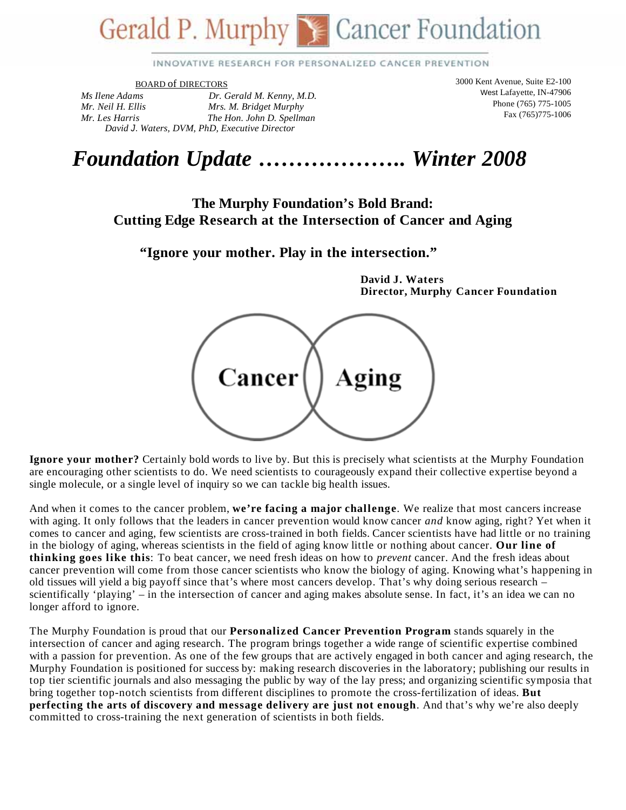# Gerald P. Murphy S. Cancer Foundation

INNOVATIVE RESEARCH FOR PERSONALIZED CANCER PREVENTION

BOARD of DIRECTORS

*Ms Ilene Adams Dr. Gerald M. Kenny, M.D. Mr. Neil H. Ellis Mrs. M. Bridget Murphy Mr. Les Harris The Hon. John D. Spellman David J*. *Waters, DVM, PhD, Executive Director* 

3000 Kent Avenue, Suite E2-100 West Lafayette, IN-47906 Phone (765) 775-1005 Fax (765)775-1006

## *Foundation Update* **………………..** *Winter 2008*

#### **The Murphy Foundation's Bold Brand: Cutting Edge Research at the Intersection of Cancer and Aging**

**"Ignore your mother. Play in the intersection."** 

**David J. Waters Director, Murphy Cancer Foundation** 

Cancer Aging

**Ignore your mother?** Certainly bold words to live by. But this is precisely what scientists at the Murphy Foundation are encouraging other scientists to do. We need scientists to courageously expand their collective expertise beyond a single molecule, or a single level of inquiry so we can tackle big health issues.

And when it comes to the cancer problem, **we're facing a major challenge**. We realize that most cancers increase with aging. It only follows that the leaders in cancer prevention would know cancer *and* know aging, right? Yet when it comes to cancer and aging, few scientists are cross-trained in both fields. Cancer scientists have had little or no training in the biology of aging, whereas scientists in the field of aging know little or nothing about cancer. **Our line of thinking goes like this**: To beat cancer, we need fresh ideas on how to *prevent* cancer. And the fresh ideas about cancer prevention will come from those cancer scientists who know the biology of aging. Knowing what's happening in old tissues will yield a big payoff since that's where most cancers develop. That's why doing serious research – scientifically 'playing' – in the intersection of cancer and aging makes absolute sense. In fact, it's an idea we can no longer afford to ignore.

The Murphy Foundation is proud that our **Personalized Cancer Prevention Program** stands squarely in the intersection of cancer and aging research. The program brings together a wide range of scientific expertise combined with a passion for prevention. As one of the few groups that are actively engaged in both cancer and aging research, the Murphy Foundation is positioned for success by: making research discoveries in the laboratory; publishing our results in top tier scientific journals and also messaging the public by way of the lay press; and organizing scientific symposia that bring together top-notch scientists from different disciplines to promote the cross-fertilization of ideas. **But perfecting the arts of discovery and message delivery are just not enough**. And that's why we're also deeply committed to cross-training the next generation of scientists in both fields.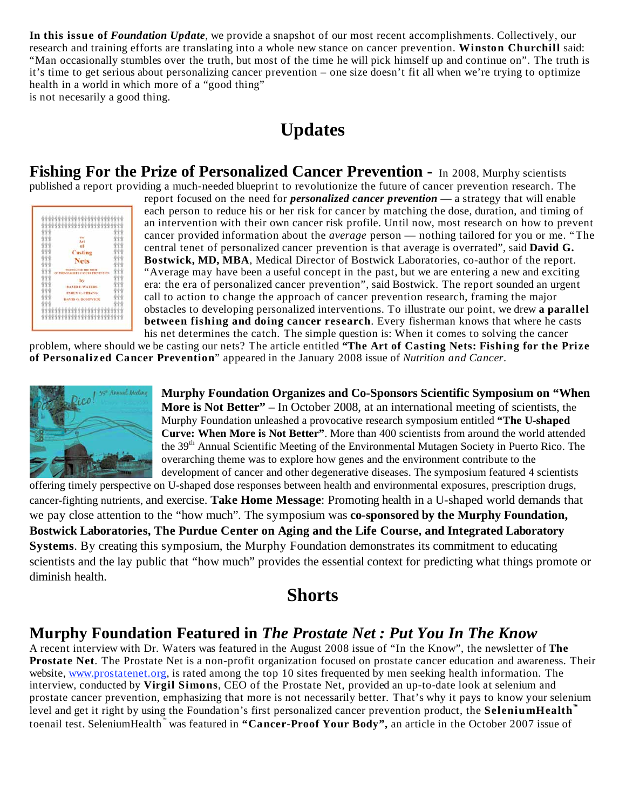**In this issue of** *Foundation Update*, we provide a snapshot of our most recent accomplishments. Collectively, our research and training efforts are translating into a whole new stance on cancer prevention. **Winston Churchill** said: "Man occasionally stumbles over the truth, but most of the time he will pick himself up and continue on". The truth is it's time to get serious about personalizing cancer prevention – one size doesn't fit all when we're trying to optimize health in a world in which more of a "good thing" is not necesarily a good thing.

#### **Updates**

**Fishing For the Prize of Personalized Cancer Prevention -** In 2008, Murphy scientists published a report providing a much-needed blueprint to revolutionize the future of cancer prevention research. The

| 000000000000000000                                               |  |
|------------------------------------------------------------------|--|
| Art                                                              |  |
| of                                                               |  |
| <b>Casting</b>                                                   |  |
| <b>Nets</b>                                                      |  |
| <b>FINITIVAL FINE THE PRIZE</b><br>ERSONALIZED CANCER FRETENTION |  |
| by                                                               |  |
| <b>DAVID J. WATERS</b>                                           |  |
| <b>EMILY C. CHIANG</b>                                           |  |
| <b>DAVID G. BOSTWICK</b>                                         |  |
|                                                                  |  |

report focused on the need for *personalized cancer prevention* — a strategy that will enable each person to reduce his or her risk for cancer by matching the dose, duration, and timing of an intervention with their own cancer risk profile. Until now, most research on how to prevent cancer provided information about the *average* person — nothing tailored for you or me. "The central tenet of personalized cancer prevention is that average is overrated", said **David G. Bostwick, MD, MBA**, Medical Director of Bostwick Laboratories, co-author of the report. "Average may have been a useful concept in the past, but we are entering a new and exciting era: the era of personalized cancer prevention", said Bostwick. The report sounded an urgent call to action to change the approach of cancer prevention research, framing the major obstacles to developing personalized interventions. To illustrate our point, we drew **a parallel between fishing and doing cancer research**. Every fisherman knows that where he casts his net determines the catch. The simple question is: When it comes to solving the cancer

problem, where should we be casting our nets? The article entitled **"The Art of Casting Nets: Fishing for the Prize of Personalized Cancer Prevention**" appeared in the January 2008 issue of *Nutrition and Cancer*.



**Murphy Foundation Organizes and Co-Sponsors Scientific Symposium on "When More is Not Better" –** In October 2008, at an international meeting of scientists, the Murphy Foundation unleashed a provocative research symposium entitled **"The U-shaped Curve: When More is Not Better"**. More than 400 scientists from around the world attended the 39<sup>th</sup> Annual Scientific Meeting of the Environmental Mutagen Society in Puerto Rico. The overarching theme was to explore how genes and the environment contribute to the development of cancer and other degenerative diseases. The symposium featured 4 scientists

offering timely perspective on U-shaped dose responses between health and environmental exposures, prescription drugs, cancer-fighting nutrients, and exercise. **Take Home Message**: Promoting health in a U-shaped world demands that we pay close attention to the "how much". The symposium was **co-sponsored by the Murphy Foundation, Bostwick Laboratories, The Purdue Center on Aging and the Life Course, and Integrated Laboratory Systems**. By creating this symposium, the Murphy Foundation demonstrates its commitment to educating scientists and the lay public that "how much" provides the essential context for predicting what things promote or diminish health.

#### **Shorts**

#### **Murphy Foundation Featured in** *The Prostate Net : Put You In The Know*

A recent interview with Dr. Waters was featured in the August 2008 issue of "In the Know", the newsletter of **The Prostate Net**. The Prostate Net is a non-profit organization focused on prostate cancer education and awareness. Their website, www.prostatenet.org, is rated among the top 10 sites frequented by men seeking health information. The interview, conducted by **Virgil Simons**, CEO of the Prostate Net, provided an up-to-date look at selenium and prostate cancer prevention, emphasizing that more is not necessarily better. That's why it pays to know your selenium level and get it right by using the Foundation's first personalized cancer prevention product, the **SeleniumHealth** toenail test. SeleniumHealth<sup>"</sup> was featured in "Cancer-Proof Your Body", an article in the October 2007 issue of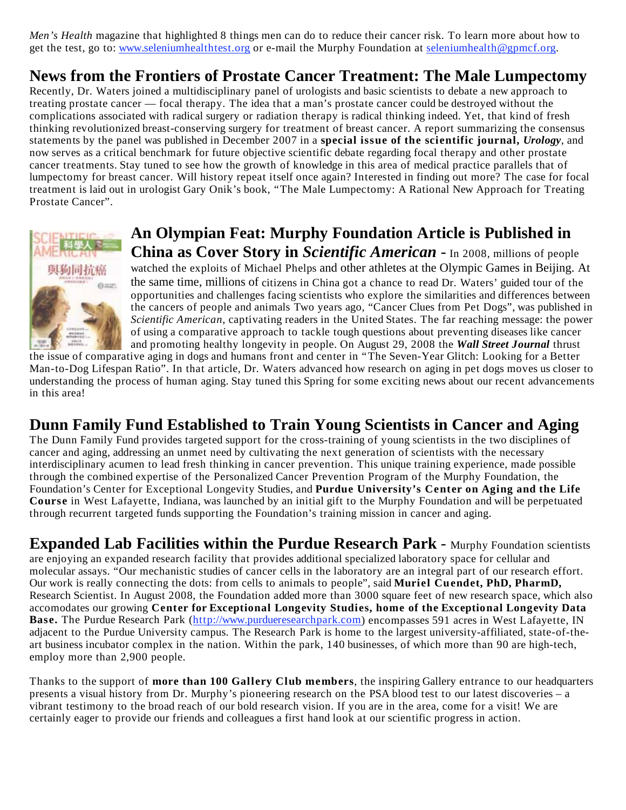*Men's Health* magazine that highlighted 8 things men can do to reduce their cancer risk. To learn more about how to get the test, go to: www.seleniumhealthtest.org or e-mail the Murphy Foundation at seleniumhealth@gpmcf.org.

#### **News from the Frontiers of Prostate Cancer Treatment: The Male Lumpectomy**

Recently, Dr. Waters joined a multidisciplinary panel of urologists and basic scientists to debate a new approach to treating prostate cancer — focal therapy. The idea that a man's prostate cancer could be destroyed without the complications associated with radical surgery or radiation therapy is radical thinking indeed. Yet, that kind of fresh thinking revolutionized breast-conserving surgery for treatment of breast cancer. A report summarizing the consensus statements by the panel was published in December 2007 in a **special issue of the scientific journal,** *Urology*, and now serves as a critical benchmark for future objective scientific debate regarding focal therapy and other prostate cancer treatments. Stay tuned to see how the growth of knowledge in this area of medical practice parallels that of lumpectomy for breast cancer. Will history repeat itself once again? Interested in finding out more? The case for focal treatment is laid out in urologist Gary Onik's book, "The Male Lumpectomy: A Rational New Approach for Treating Prostate Cancer".



#### **An Olympian Feat: Murphy Foundation Article is Published in China as Cover Story in** *Scientific American* - In 2008, millions of people

watched the exploits of Michael Phelps and other athletes at the Olympic Games in Beijing. At the same time, millions of citizens in China got a chance to read Dr. Waters' guided tour of the opportunities and challenges facing scientists who explore the similarities and differences between the cancers of people and animals Two years ago, "Cancer Clues from Pet Dogs", was published in *Scientific American*, captivating readers in the United States. The far reaching message: the power of using a comparative approach to tackle tough questions about preventing diseases like cancer and promoting healthy longevity in people. On August 29, 2008 the *Wall Street Journal* thrust

the issue of comparative aging in dogs and humans front and center in "The Seven-Year Glitch: Looking for a Better Man-to-Dog Lifespan Ratio". In that article, Dr. Waters advanced how research on aging in pet dogs moves us closer to understanding the process of human aging. Stay tuned this Spring for some exciting news about our recent advancements in this area!

#### **Dunn Family Fund Established to Train Young Scientists in Cancer and Aging**

The Dunn Family Fund provides targeted support for the cross-training of young scientists in the two disciplines of cancer and aging, addressing an unmet need by cultivating the next generation of scientists with the necessary interdisciplinary acumen to lead fresh thinking in cancer prevention. This unique training experience, made possible through the combined expertise of the Personalized Cancer Prevention Program of the Murphy Foundation, the Foundation's Center for Exceptional Longevity Studies, and **Purdue University's Center on Aging and the Life Course** in West Lafayette, Indiana, was launched by an initial gift to the Murphy Foundation and will be perpetuated through recurrent targeted funds supporting the Foundation's training mission in cancer and aging.

**Expanded Lab Facilities within the Purdue Research Park - Murphy Foundation scientists** are enjoying an expanded research facility that provides additional specialized laboratory space for cellular and molecular assays. "Our mechanistic studies of cancer cells in the laboratory are an integral part of our research effort. Our work is really connecting the dots: from cells to animals to people", said **Muriel Cuendet, PhD, PharmD,** Research Scientist. In August 2008, the Foundation added more than 3000 square feet of new research space, which also accomodates our growing **Center for Exceptional Longevity Studies, home of the Exceptional Longevity Data Base.** The Purdue Research Park (http://www.purdueresearchpark.com) encompasses 591 acres in West Lafayette, IN adjacent to the Purdue University campus. The Research Park is home to the largest university-affiliated, state-of-theart business incubator complex in the nation. Within the park, 140 businesses, of which more than 90 are high-tech, employ more than 2,900 people.

Thanks to the support of **more than 100 Gallery Club members**, the inspiring Gallery entrance to our headquarters presents a visual history from Dr. Murphy's pioneering research on the PSA blood test to our latest discoveries – a vibrant testimony to the broad reach of our bold research vision. If you are in the area, come for a visit! We are certainly eager to provide our friends and colleagues a first hand look at our scientific progress in action.